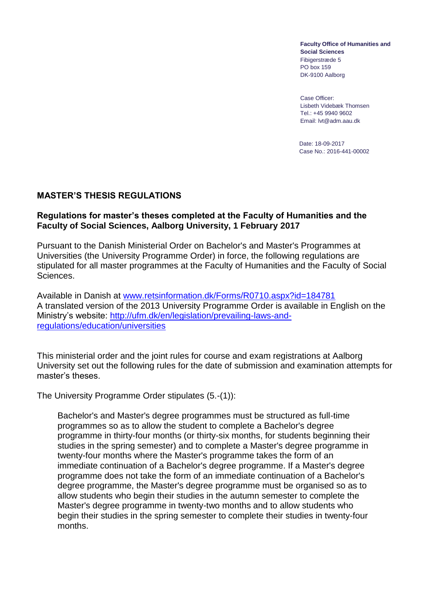**Faculty Office of Humanities and Social Sciences**  Fibigerstræde 5 PO box 159 DK-9100 Aalborg

Case Officer: Lisbeth Videbæk Thomsen Tel.: +45 9940 9602 Email: lvt@adm.aau.dk

Date: 18-09-2017 Case No.: 2016-441-00002

## **MASTER'S THESIS REGULATIONS**

#### **Regulations for master's theses completed at the Faculty of Humanities and the Faculty of Social Sciences, Aalborg University, 1 February 2017**

Pursuant to the Danish Ministerial Order on Bachelor's and Master's Programmes at Universities (the University Programme Order) in force, the following regulations are stipulated for all master programmes at the Faculty of Humanities and the Faculty of Social Sciences.

Available in Danish at [www.retsinformation.dk/Forms/R0710.aspx?id=184781](file:///C:/Users/pbha/AppData/Local/Temp/www.retsinformation.dk/Forms/R0710.aspx%3fid=184781) A translated version of the 2013 University Programme Order is available in English on the Ministry's website: [http://ufm.dk/en/legislation/prevailing-laws-and](http://ufm.dk/en/legislation/prevailing-laws-and-regulations/education/universities)[regulations/education/universities](http://ufm.dk/en/legislation/prevailing-laws-and-regulations/education/universities)

This ministerial order and the joint rules for course and exam registrations at Aalborg University set out the following rules for the date of submission and examination attempts for master's theses.

The University Programme Order stipulates (5.-(1)):

Bachelor's and Master's degree programmes must be structured as full-time programmes so as to allow the student to complete a Bachelor's degree programme in thirty-four months (or thirty-six months, for students beginning their studies in the spring semester) and to complete a Master's degree programme in twenty-four months where the Master's programme takes the form of an immediate continuation of a Bachelor's degree programme. If a Master's degree programme does not take the form of an immediate continuation of a Bachelor's degree programme, the Master's degree programme must be organised so as to allow students who begin their studies in the autumn semester to complete the Master's degree programme in twenty-two months and to allow students who begin their studies in the spring semester to complete their studies in twenty-four months.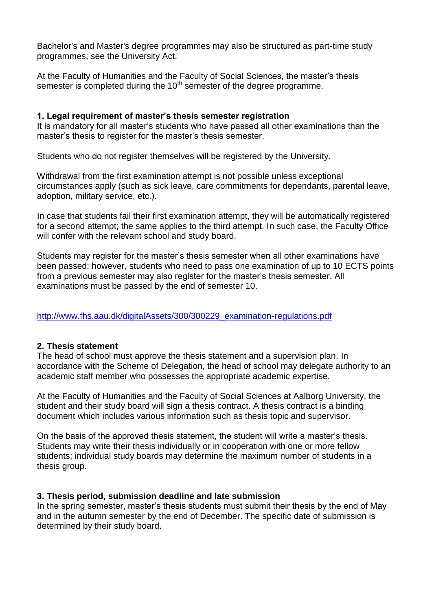Bachelor's and Master's degree programmes may also be structured as part-time study programmes; see the University Act.

At the Faculty of Humanities and the Faculty of Social Sciences, the master's thesis semester is completed during the  $10<sup>th</sup>$  semester of the degree programme.

# **1. Legal requirement of master's thesis semester registration**

It is mandatory for all master's students who have passed all other examinations than the master's thesis to register for the master's thesis semester.

Students who do not register themselves will be registered by the University.

Withdrawal from the first examination attempt is not possible unless exceptional circumstances apply (such as sick leave, care commitments for dependants, parental leave, adoption, military service, etc.).

In case that students fail their first examination attempt, they will be automatically registered for a second attempt; the same applies to the third attempt. In such case, the Faculty Office will confer with the relevant school and study board.

Students may register for the master's thesis semester when all other examinations have been passed; however, students who need to pass one examination of up to 10 ECTS points from a previous semester may also register for the master's thesis semester. All examinations must be passed by the end of semester 10.

[http://www.fhs.aau.dk/digitalAssets/300/300229\\_examination-regulations.pdf](http://www.fhs.aau.dk/digitalAssets/300/300229_examination-regulations.pdf)

## **2. Thesis statement**

The head of school must approve the thesis statement and a supervision plan. In accordance with the Scheme of Delegation, the head of school may delegate authority to an academic staff member who possesses the appropriate academic expertise.

At the Faculty of Humanities and the Faculty of Social Sciences at Aalborg University, the student and their study board will sign a thesis contract. A thesis contract is a binding document which includes various information such as thesis topic and supervisor.

On the basis of the approved thesis statement, the student will write a master's thesis. Students may write their thesis individually or in cooperation with one or more fellow students; individual study boards may determine the maximum number of students in a thesis group.

## **3. Thesis period, submission deadline and late submission**

In the spring semester, master's thesis students must submit their thesis by the end of May and in the autumn semester by the end of December. The specific date of submission is determined by their study board.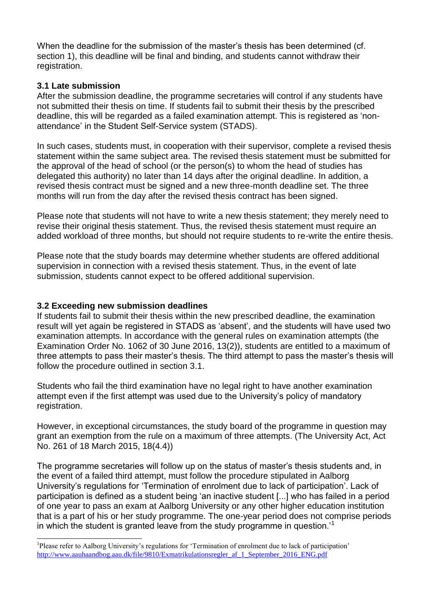When the deadline for the submission of the master's thesis has been determined (cf. section 1), this deadline will be final and binding, and students cannot withdraw their registration.

# **3.1 Late submission**

After the submission deadline, the programme secretaries will control if any students have not submitted their thesis on time. If students fail to submit their thesis by the prescribed deadline, this will be regarded as a failed examination attempt. This is registered as 'nonattendance' in the Student Self-Service system (STADS).

In such cases, students must, in cooperation with their supervisor, complete a revised thesis statement within the same subject area. The revised thesis statement must be submitted for the approval of the head of school (or the person(s) to whom the head of studies has delegated this authority) no later than 14 days after the original deadline. In addition, a revised thesis contract must be signed and a new three-month deadline set. The three months will run from the day after the revised thesis contract has been signed.

Please note that students will not have to write a new thesis statement; they merely need to revise their original thesis statement. Thus, the revised thesis statement must require an added workload of three months, but should not require students to re-write the entire thesis.

Please note that the study boards may determine whether students are offered additional supervision in connection with a revised thesis statement. Thus, in the event of late submission, students cannot expect to be offered additional supervision.

## **3.2 Exceeding new submission deadlines**

-

If students fail to submit their thesis within the new prescribed deadline, the examination result will yet again be registered in STADS as 'absent', and the students will have used two examination attempts. In accordance with the general rules on examination attempts (the Examination Order No. 1062 of 30 June 2016, 13(2)), students are entitled to a maximum of three attempts to pass their master's thesis. The third attempt to pass the master's thesis will follow the procedure outlined in section 3.1.

Students who fail the third examination have no legal right to have another examination attempt even if the first attempt was used due to the University's policy of mandatory registration.

However, in exceptional circumstances, the study board of the programme in question may grant an exemption from the rule on a maximum of three attempts. (The University Act, Act No. 261 of 18 March 2015, 18(4.4))

The programme secretaries will follow up on the status of master's thesis students and, in the event of a failed third attempt, must follow the procedure stipulated in Aalborg University's regulations for 'Termination of enrolment due to lack of participation'. Lack of participation is defined as a student being 'an inactive student [...] who has failed in a period of one year to pass an exam at Aalborg University or any other higher education institution that is a part of his or her study programme. The one-year period does not comprise periods in which the student is granted leave from the study programme in question.<sup>1</sup>

<sup>&</sup>lt;sup>1</sup>Please refer to Aalborg University's regulations for 'Termination of enrolment due to lack of participation' [http://www.aauhaandbog.aau.dk/file/9810/Exmatrikulationsregler\\_af\\_1\\_September\\_2016\\_ENG.pdf](http://www.aauhaandbog.aau.dk/file/9809/Exmatrikulationsregler_af_1_september_2016.pdf)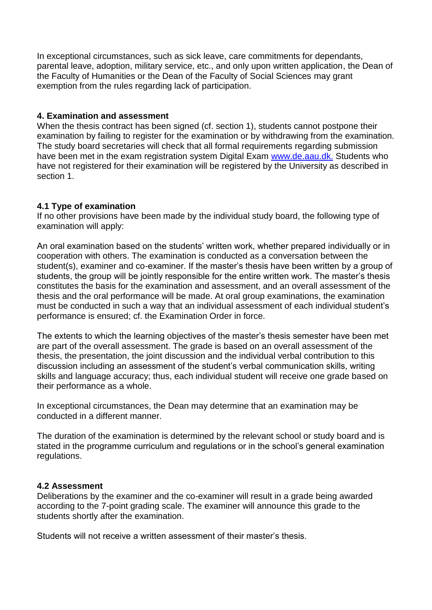In exceptional circumstances, such as sick leave, care commitments for dependants, parental leave, adoption, military service, etc., and only upon written application, the Dean of the Faculty of Humanities or the Dean of the Faculty of Social Sciences may grant exemption from the rules regarding lack of participation.

## **4. Examination and assessment**

When the thesis contract has been signed (cf. section 1), students cannot postpone their examination by failing to register for the examination or by withdrawing from the examination. The study board secretaries will check that all formal requirements regarding submission have been met in the exam registration system Digital Exam [www.de.aau.dk.](http://www.de.aau.dk/) Students who have not registered for their examination will be registered by the University as described in section 1.

## **4.1 Type of examination**

If no other provisions have been made by the individual study board, the following type of examination will apply:

An oral examination based on the students' written work, whether prepared individually or in cooperation with others. The examination is conducted as a conversation between the student(s), examiner and co-examiner. If the master's thesis have been written by a group of students, the group will be jointly responsible for the entire written work. The master's thesis constitutes the basis for the examination and assessment, and an overall assessment of the thesis and the oral performance will be made. At oral group examinations, the examination must be conducted in such a way that an individual assessment of each individual student's performance is ensured; cf. the Examination Order in force.

The extents to which the learning objectives of the master's thesis semester have been met are part of the overall assessment. The grade is based on an overall assessment of the thesis, the presentation, the joint discussion and the individual verbal contribution to this discussion including an assessment of the student's verbal communication skills, writing skills and language accuracy; thus, each individual student will receive one grade based on their performance as a whole.

In exceptional circumstances, the Dean may determine that an examination may be conducted in a different manner.

The duration of the examination is determined by the relevant school or study board and is stated in the programme curriculum and regulations or in the school's general examination regulations.

#### **4.2 Assessment**

Deliberations by the examiner and the co-examiner will result in a grade being awarded according to the 7-point grading scale. The examiner will announce this grade to the students shortly after the examination.

Students will not receive a written assessment of their master's thesis.